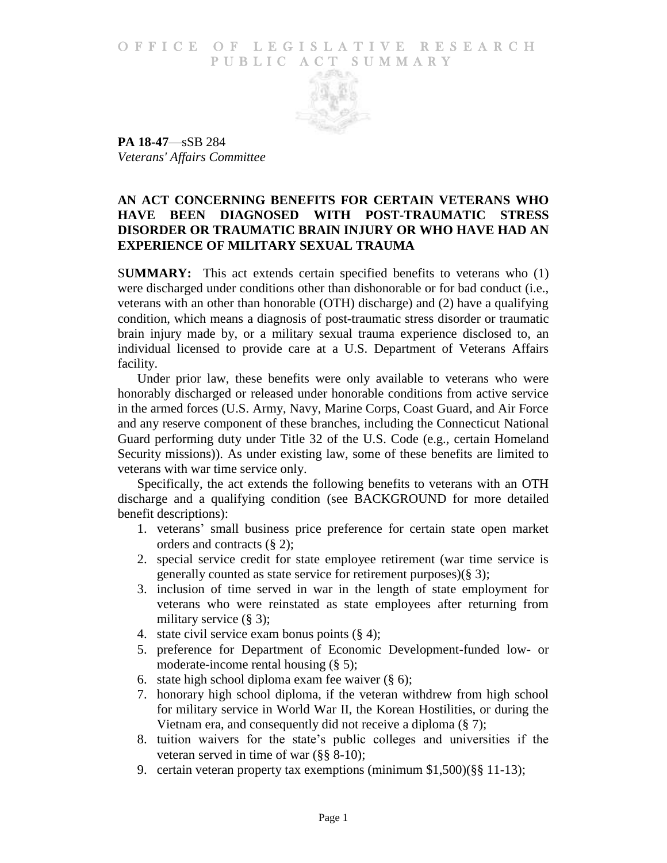# O F FICE OF LEGISLATIVE RESEARCH PUBLIC ACT SUMMARY



**PA 18-47**—sSB 284 *Veterans' Affairs Committee*

# **AN ACT CONCERNING BENEFITS FOR CERTAIN VETERANS WHO HAVE BEEN DIAGNOSED WITH POST-TRAUMATIC STRESS DISORDER OR TRAUMATIC BRAIN INJURY OR WHO HAVE HAD AN EXPERIENCE OF MILITARY SEXUAL TRAUMA**

S**UMMARY:** This act extends certain specified benefits to veterans who (1) were discharged under conditions other than dishonorable or for bad conduct (i.e., veterans with an other than honorable (OTH) discharge) and (2) have a qualifying condition, which means a diagnosis of post-traumatic stress disorder or traumatic brain injury made by, or a military sexual trauma experience disclosed to, an individual licensed to provide care at a U.S. Department of Veterans Affairs facility.

Under prior law, these benefits were only available to veterans who were honorably discharged or released under honorable conditions from active service in the armed forces (U.S. Army, Navy, Marine Corps, Coast Guard, and Air Force and any reserve component of these branches, including the Connecticut National Guard performing duty under Title 32 of the U.S. Code (e.g., certain Homeland Security missions)). As under existing law, some of these benefits are limited to veterans with war time service only.

Specifically, the act extends the following benefits to veterans with an OTH discharge and a qualifying condition (see BACKGROUND for more detailed benefit descriptions):

- 1. veterans' small business price preference for certain state open market orders and contracts (§ 2);
- 2. special service credit for state employee retirement (war time service is generally counted as state service for retirement purposes)(§ 3);
- 3. inclusion of time served in war in the length of state employment for veterans who were reinstated as state employees after returning from military service (§ 3);
- 4. state civil service exam bonus points (§ 4);
- 5. preference for Department of Economic Development-funded low- or moderate-income rental housing (§ 5);
- 6. state high school diploma exam fee waiver  $(\S 6)$ ;
- 7. honorary high school diploma, if the veteran withdrew from high school for military service in World War II, the Korean Hostilities, or during the Vietnam era, and consequently did not receive a diploma (§ 7);
- 8. tuition waivers for the state's public colleges and universities if the veteran served in time of war (§§ 8-10);
- 9. certain veteran property tax exemptions (minimum \$1,500)(§§ 11-13);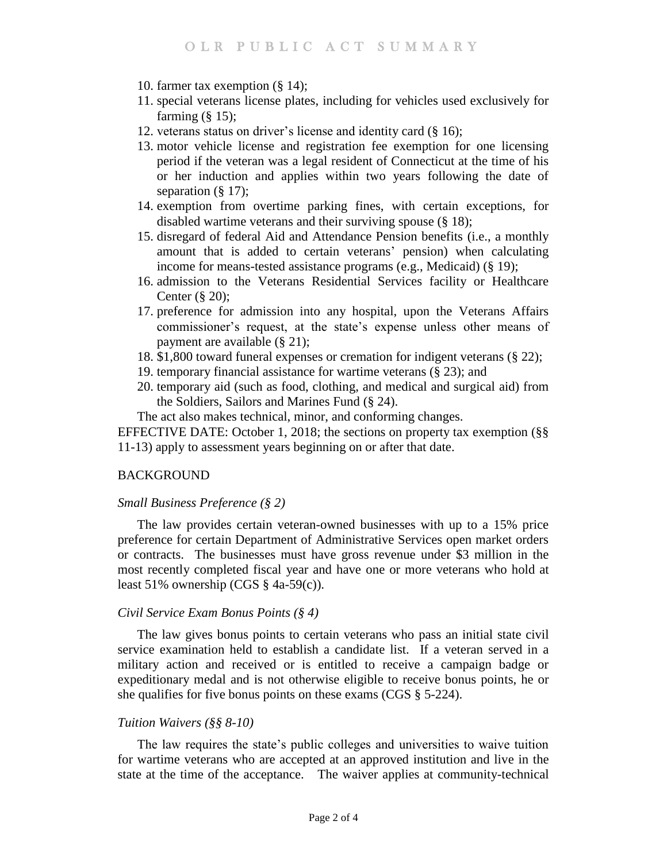- 10. farmer tax exemption (§ 14);
- 11. special veterans license plates, including for vehicles used exclusively for farming  $(\S 15)$ ;
- 12. veterans status on driver's license and identity card (§ 16);
- 13. motor vehicle license and registration fee exemption for one licensing period if the veteran was a legal resident of Connecticut at the time of his or her induction and applies within two years following the date of separation (§ 17);
- 14. exemption from overtime parking fines, with certain exceptions, for disabled wartime veterans and their surviving spouse (§ 18);
- 15. disregard of federal Aid and Attendance Pension benefits (i.e., a monthly amount that is added to certain veterans' pension) when calculating income for means-tested assistance programs (e.g., Medicaid) (§ 19);
- 16. admission to the Veterans Residential Services facility or Healthcare Center (§ 20);
- 17. preference for admission into any hospital, upon the Veterans Affairs commissioner's request, at the state's expense unless other means of payment are available (§ 21);
- 18. \$1,800 toward funeral expenses or cremation for indigent veterans (§ 22);
- 19. temporary financial assistance for wartime veterans (§ 23); and
- 20. temporary aid (such as food, clothing, and medical and surgical aid) from the Soldiers, Sailors and Marines Fund (§ 24).

The act also makes technical, minor, and conforming changes.

EFFECTIVE DATE: October 1, 2018; the sections on property tax exemption (§§ 11-13) apply to assessment years beginning on or after that date.

# **BACKGROUND**

### *Small Business Preference (§ 2)*

The law provides certain veteran-owned businesses with up to a 15% price preference for certain Department of Administrative Services open market orders or contracts. The businesses must have gross revenue under \$3 million in the most recently completed fiscal year and have one or more veterans who hold at least 51% ownership (CGS  $\S$  4a-59(c)).

#### *Civil Service Exam Bonus Points (§ 4)*

The law gives bonus points to certain veterans who pass an initial state civil service examination held to establish a candidate list. If a veteran served in a military action and received or is entitled to receive a campaign badge or expeditionary medal and is not otherwise eligible to receive bonus points, he or she qualifies for five bonus points on these exams (CGS § 5-224).

#### *Tuition Waivers (§§ 8-10)*

The law requires the state's public colleges and universities to waive tuition for wartime veterans who are accepted at an approved institution and live in the state at the time of the acceptance. The waiver applies at community-technical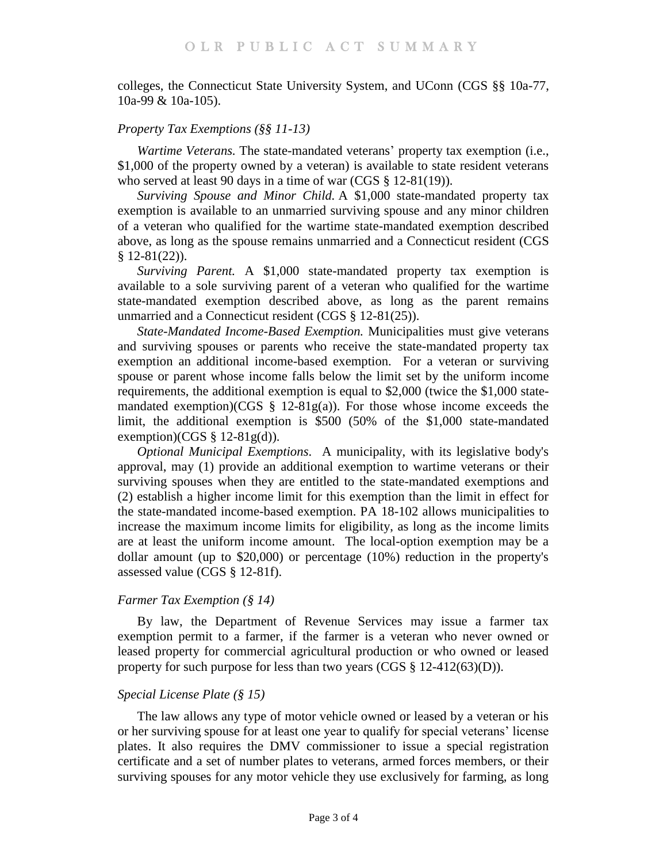colleges, the Connecticut State University System, and UConn (CGS §§ 10a-77, 10a-99 & 10a-105).

# *Property Tax Exemptions (§§ 11-13)*

*Wartime Veterans.* The state-mandated veterans' property tax exemption (i.e., \$1,000 of the property owned by a veteran) is available to state resident veterans who served at least 90 days in a time of war (CGS § 12-81(19)).

*Surviving Spouse and Minor Child.* A \$1,000 state-mandated property tax exemption is available to an unmarried surviving spouse and any minor children of a veteran who qualified for the wartime state-mandated exemption described above, as long as the spouse remains unmarried and a Connecticut resident (CGS  $§ 12-81(22)$ .

*Surviving Parent.* A \$1,000 state-mandated property tax exemption is available to a sole surviving parent of a veteran who qualified for the wartime state-mandated exemption described above, as long as the parent remains unmarried and a Connecticut resident (CGS § 12-81(25)).

*State-Mandated Income-Based Exemption.* Municipalities must give veterans and surviving spouses or parents who receive the state-mandated property tax exemption an additional income-based exemption. For a veteran or surviving spouse or parent whose income falls below the limit set by the uniform income requirements, the additional exemption is equal to \$2,000 (twice the \$1,000 statemandated exemption)(CGS § 12-81g(a)). For those whose income exceeds the limit, the additional exemption is \$500 (50% of the \$1,000 state-mandated exemption)(CGS  $\S$  12-81g(d)).

*Optional Municipal Exemptions*. A municipality, with its legislative body's approval, may (1) provide an additional exemption to wartime veterans or their surviving spouses when they are entitled to the state-mandated exemptions and (2) establish a higher income limit for this exemption than the limit in effect for the state-mandated income-based exemption. PA 18-102 allows municipalities to increase the maximum income limits for eligibility, as long as the income limits are at least the uniform income amount. The local-option exemption may be a dollar amount (up to \$20,000) or percentage (10%) reduction in the property's assessed value (CGS § 12-81f).

### *Farmer Tax Exemption (§ 14)*

By law, the Department of Revenue Services may issue a farmer tax exemption permit to a farmer, if the farmer is a veteran who never owned or leased property for commercial agricultural production or who owned or leased property for such purpose for less than two years  $(CGS \S 12-412(63)(D)).$ 

# *Special License Plate (§ 15)*

The law allows any type of motor vehicle owned or leased by a veteran or his or her surviving spouse for at least one year to qualify for special veterans' license plates. It also requires the DMV commissioner to issue a special registration certificate and a set of number plates to veterans, armed forces members, or their surviving spouses for any motor vehicle they use exclusively for farming, as long